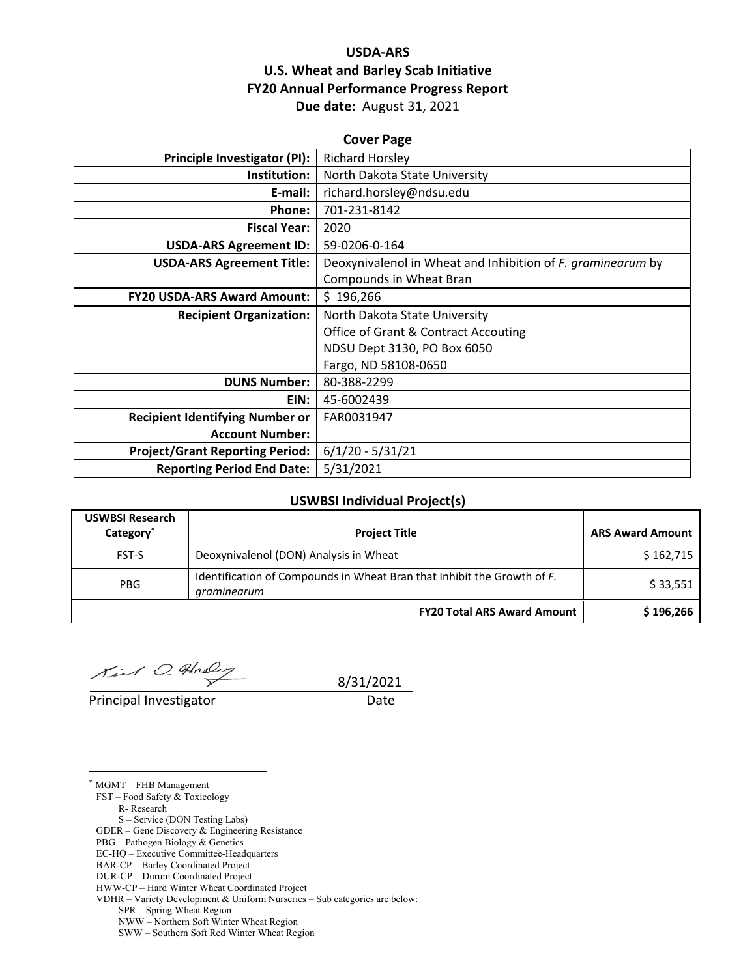### **USDA‐ARS U.S. Wheat and Barley Scab Initiative FY20 Annual Performance Progress Report Due date:** August 31, 2021

| <b>Cover Page</b>                      |                                                             |  |
|----------------------------------------|-------------------------------------------------------------|--|
| Principle Investigator (PI):           | <b>Richard Horsley</b>                                      |  |
| Institution:                           | North Dakota State University                               |  |
| E-mail:                                | richard.horsley@ndsu.edu                                    |  |
| Phone:                                 | 701-231-8142                                                |  |
| <b>Fiscal Year:</b>                    | 2020                                                        |  |
| <b>USDA-ARS Agreement ID:</b>          | 59-0206-0-164                                               |  |
| <b>USDA-ARS Agreement Title:</b>       | Deoxynivalenol in Wheat and Inhibition of F. graminearum by |  |
|                                        | Compounds in Wheat Bran                                     |  |
| <b>FY20 USDA-ARS Award Amount:</b>     | \$196,266                                                   |  |
| <b>Recipient Organization:</b>         | North Dakota State University                               |  |
|                                        | <b>Office of Grant &amp; Contract Accouting</b>             |  |
|                                        | NDSU Dept 3130, PO Box 6050                                 |  |
|                                        | Fargo, ND 58108-0650                                        |  |
| <b>DUNS Number:</b>                    | 80-388-2299                                                 |  |
| EIN:                                   | 45-6002439                                                  |  |
| <b>Recipient Identifying Number or</b> | FAR0031947                                                  |  |
| <b>Account Number:</b>                 |                                                             |  |
| <b>Project/Grant Reporting Period:</b> | $6/1/20 - 5/31/21$                                          |  |
| <b>Reporting Period End Date:</b>      | 5/31/2021                                                   |  |

#### **USWBSI Individual Project(s)**

| <b>USWBSI Research</b><br>Category <sup>*</sup> | <b>Project Title</b>                                                                   | <b>ARS Award Amount</b> |
|-------------------------------------------------|----------------------------------------------------------------------------------------|-------------------------|
| FST-S                                           | Deoxynivalenol (DON) Analysis in Wheat                                                 | \$162,715               |
| <b>PBG</b>                                      | Identification of Compounds in Wheat Bran that Inhibit the Growth of F.<br>graminearum | \$33,551                |
|                                                 | <b>FY20 Total ARS Award Amount</b>                                                     | \$196,266               |

 $X_{i}: A O.$  Under  $\frac{1}{2}$  8/31/2021

Principal Investigator **Date** 

<u>.</u>

\* MGMT – FHB Management FST – Food Safety & Toxicology R- Research S – Service (DON Testing Labs) GDER – Gene Discovery & Engineering Resistance PBG – Pathogen Biology & Genetics EC-HQ – Executive Committee-Headquarters BAR-CP – Barley Coordinated Project DUR-CP – Durum Coordinated Project HWW-CP – Hard Winter Wheat Coordinated Project

VDHR – Variety Development & Uniform Nurseries – Sub categories are below:

SPR – Spring Wheat Region

NWW – Northern Soft Winter Wheat Region

SWW – Southern Soft Red Winter Wheat Region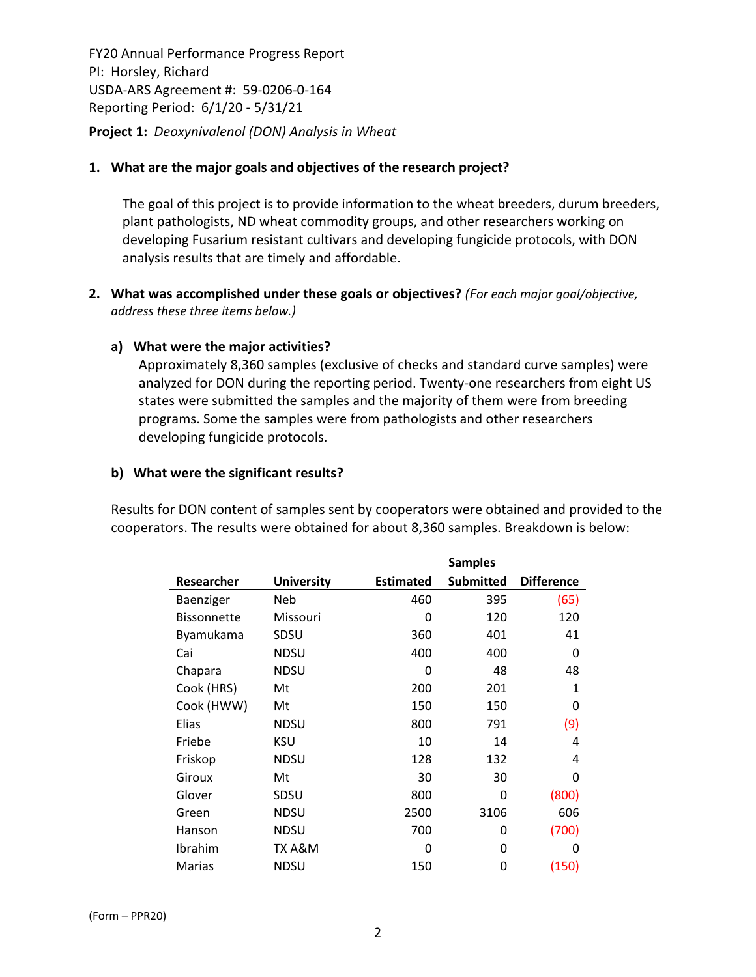FY20 Annual Performance Progress Report PI: Horsley, Richard USDA‐ARS Agreement #: 59‐0206‐0‐164 Reporting Period: 6/1/20 ‐ 5/31/21 **Project 1:** *Deoxynivalenol (DON) Analysis in Wheat*

### **1. What are the major goals and objectives of the research project?**

The goal of this project is to provide information to the wheat breeders, durum breeders, plant pathologists, ND wheat commodity groups, and other researchers working on developing Fusarium resistant cultivars and developing fungicide protocols, with DON analysis results that are timely and affordable.

**2. What was accomplished under these goals or objectives?** *(For each major goal/objective, address these three items below.)*

### **a) What were the major activities?**

Approximately 8,360 samples (exclusive of checks and standard curve samples) were analyzed for DON during the reporting period. Twenty-one researchers from eight US states were submitted the samples and the majority of them were from breeding programs. Some the samples were from pathologists and other researchers developing fungicide protocols.

### **b) What were the significant results?**

Results for DON content of samples sent by cooperators were obtained and provided to the cooperators. The results were obtained for about 8,360 samples. Breakdown is below:

|                    |                   | <b>Samples</b>   |                  |                   |
|--------------------|-------------------|------------------|------------------|-------------------|
| Researcher         | <b>University</b> | <b>Estimated</b> | <b>Submitted</b> | <b>Difference</b> |
| Baenziger          | Neb               | 460              | 395              | (65)              |
| <b>Bissonnette</b> | Missouri          | 0                | 120              | 120               |
| Byamukama          | SDSU              | 360              | 401              | 41                |
| Cai                | NDSU              | 400              | 400              | 0                 |
| Chapara            | NDSU              | 0                | 48               | 48                |
| Cook (HRS)         | Mt                | 200              | 201              | 1                 |
| Cook (HWW)         | Mt                | 150              | 150              | 0                 |
| Elias              | NDSU              | 800              | 791              | (9)               |
| Friebe             | <b>KSU</b>        | 10               | 14               | 4                 |
| Friskop            | NDSU              | 128              | 132              | 4                 |
| Giroux             | Mt                | 30               | 30               | O                 |
| Glover             | SDSU              | 800              | 0                | (800)             |
| Green              | <b>NDSU</b>       | 2500             | 3106             | 606               |
| Hanson             | <b>NDSU</b>       | 700              | 0                | (700)             |
| Ibrahim            | TX A&M            | 0                | 0                | Ω                 |
| <b>Marias</b>      | <b>NDSU</b>       | 150              | 0                | (150)             |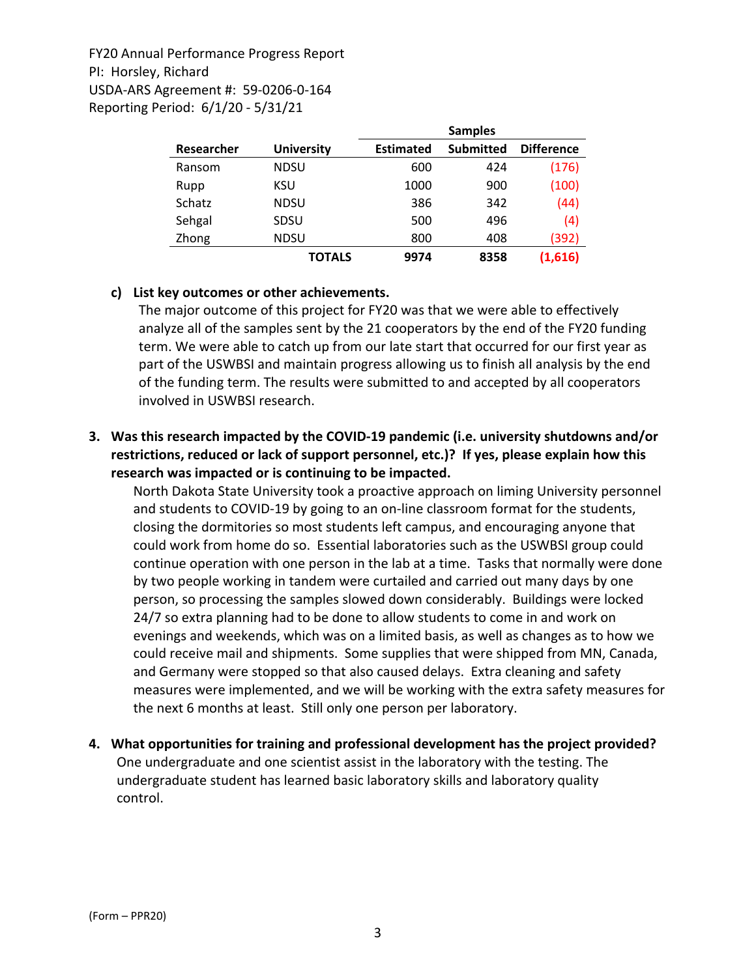|            |                   | <b>Samples</b>   |                  |                   |
|------------|-------------------|------------------|------------------|-------------------|
| Researcher | <b>University</b> | <b>Estimated</b> | <b>Submitted</b> | <b>Difference</b> |
| Ransom     | <b>NDSU</b>       | 600              | 424              | (176)             |
| Rupp       | KSU               | 1000             | 900              | (100)             |
| Schatz     | <b>NDSU</b>       | 386              | 342              | (44)              |
| Sehgal     | SDSU              | 500              | 496              | (4)               |
| Zhong      | <b>NDSU</b>       | 800              | 408              | (392)             |
|            | TOTALS            | 9974             | 8358             | (1,616)           |

### **c) List key outcomes or other achievements.**

The major outcome of this project for FY20 was that we were able to effectively analyze all of the samples sent by the 21 cooperators by the end of the FY20 funding term. We were able to catch up from our late start that occurred for our first year as part of the USWBSI and maintain progress allowing us to finish all analysis by the end of the funding term. The results were submitted to and accepted by all cooperators involved in USWBSI research.

### **3. Was this research impacted by the COVID‐19 pandemic (i.e. university shutdowns and/or restrictions, reduced or lack of support personnel, etc.)? If yes, please explain how this research was impacted or is continuing to be impacted.**

North Dakota State University took a proactive approach on liming University personnel and students to COVID‐19 by going to an on‐line classroom format for the students, closing the dormitories so most students left campus, and encouraging anyone that could work from home do so. Essential laboratories such as the USWBSI group could continue operation with one person in the lab at a time. Tasks that normally were done by two people working in tandem were curtailed and carried out many days by one person, so processing the samples slowed down considerably. Buildings were locked 24/7 so extra planning had to be done to allow students to come in and work on evenings and weekends, which was on a limited basis, as well as changes as to how we could receive mail and shipments. Some supplies that were shipped from MN, Canada, and Germany were stopped so that also caused delays. Extra cleaning and safety measures were implemented, and we will be working with the extra safety measures for the next 6 months at least. Still only one person per laboratory.

**4. What opportunities for training and professional development has the project provided?** One undergraduate and one scientist assist in the laboratory with the testing. The undergraduate student has learned basic laboratory skills and laboratory quality control.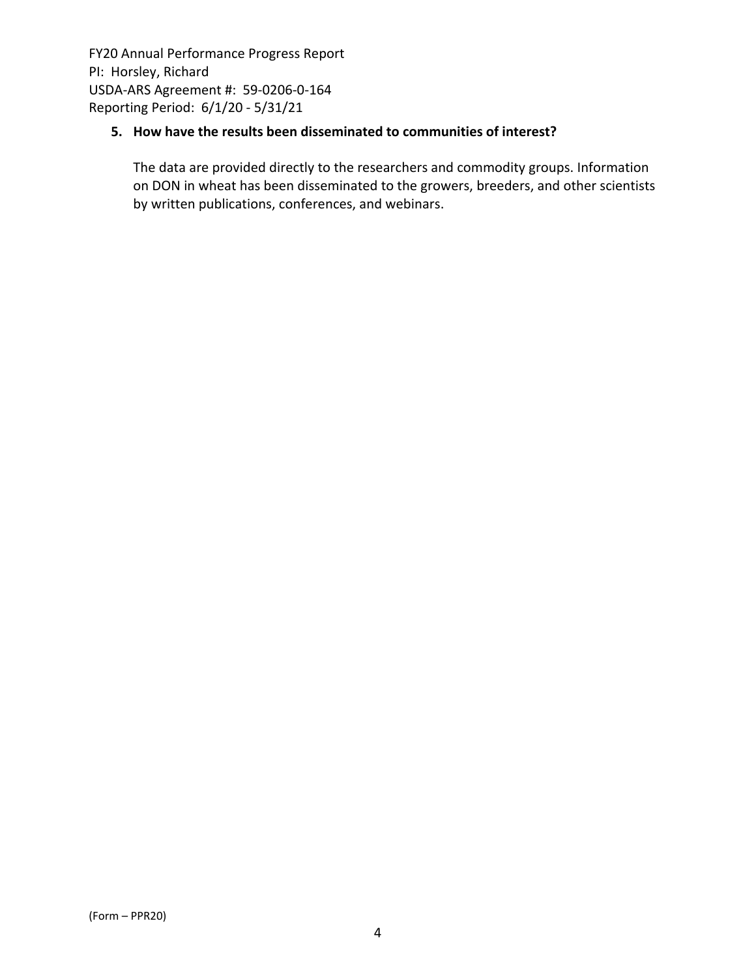# **5. How have the results been disseminated to communities of interest?**

The data are provided directly to the researchers and commodity groups. Information on DON in wheat has been disseminated to the growers, breeders, and other scientists by written publications, conferences, and webinars.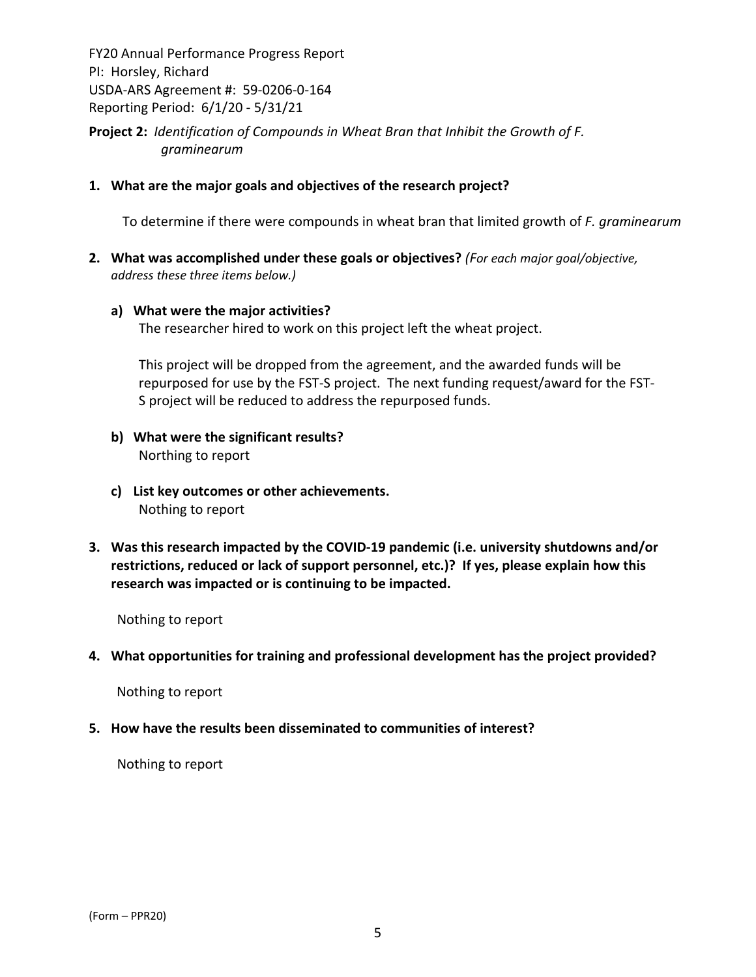**Project 2:** *Identification of Compounds in Wheat Bran that Inhibit the Growth of F. graminearum*

**1. What are the major goals and objectives of the research project?**

To determine if there were compounds in wheat bran that limited growth of *F. graminearum*

**2. What was accomplished under these goals or objectives?** *(For each major goal/objective, address these three items below.)*

#### **a) What were the major activities?**

The researcher hired to work on this project left the wheat project.

This project will be dropped from the agreement, and the awarded funds will be repurposed for use by the FST‐S project. The next funding request/award for the FST‐ S project will be reduced to address the repurposed funds.

- **b) What were the significant results?** Northing to report
- **c) List key outcomes or other achievements.**  Nothing to report
- **3. Was this research impacted by the COVID‐19 pandemic (i.e. university shutdowns and/or restrictions, reduced or lack of support personnel, etc.)? If yes, please explain how this research was impacted or is continuing to be impacted.**

Nothing to report

**4. What opportunities for training and professional development has the project provided?**

Nothing to report

**5. How have the results been disseminated to communities of interest?**

Nothing to report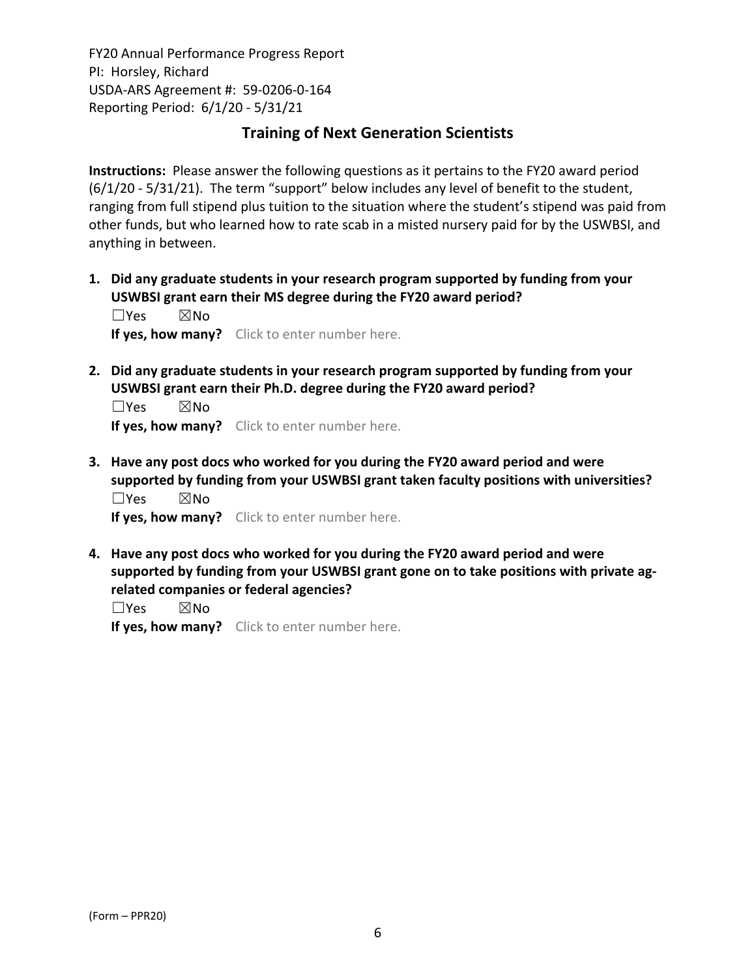# **Training of Next Generation Scientists**

**Instructions:** Please answer the following questions as it pertains to the FY20 award period (6/1/20 ‐ 5/31/21). The term "support" below includes any level of benefit to the student, ranging from full stipend plus tuition to the situation where the student's stipend was paid from other funds, but who learned how to rate scab in a misted nursery paid for by the USWBSI, and anything in between.

**1. Did any graduate students in your research program supported by funding from your USWBSI grant earn their MS degree during the FY20 award period?**

 $\square$ Yes  $\square$ No **If yes, how many?** Click to enter number here.

**2. Did any graduate students in your research program supported by funding from your USWBSI grant earn their Ph.D. degree during the FY20 award period?**

☐Yes ☒No **If yes, how many?** Click to enter number here.

**3. Have any post docs who worked for you during the FY20 award period and were supported by funding from your USWBSI grant taken faculty positions with universities?** ☐Yes ☒No

**If yes, how many?** Click to enter number here.

**4. Have any post docs who worked for you during the FY20 award period and were supported by funding from your USWBSI grant gone on to take positions with private ag‐ related companies or federal agencies?**

☐Yes ☒No **If yes, how many?** Click to enter number here.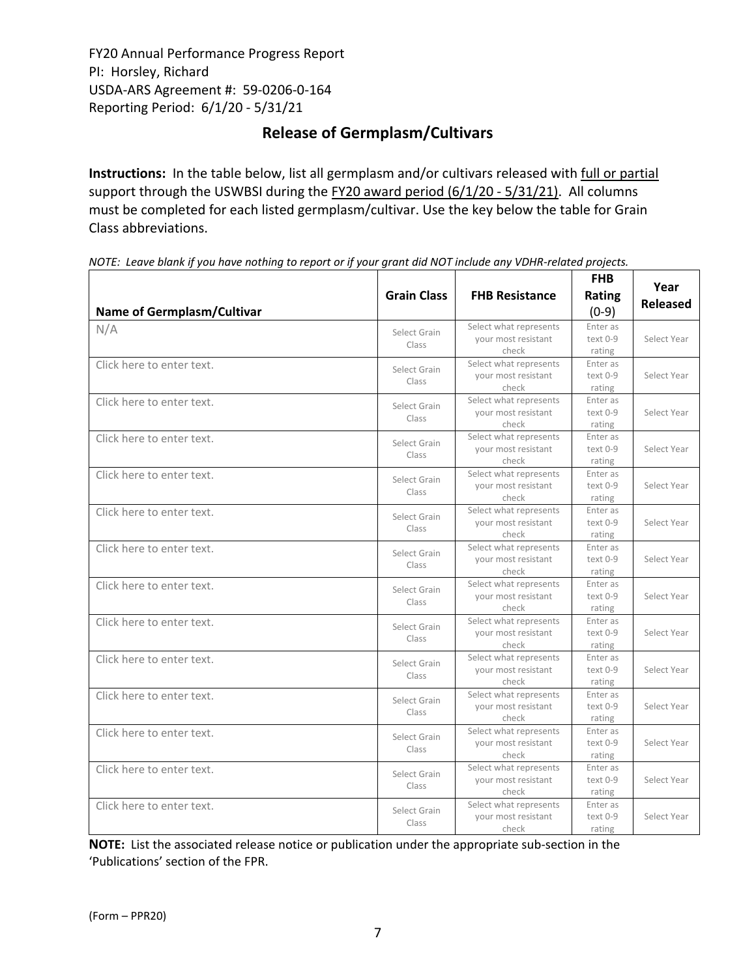# **Release of Germplasm/Cultivars**

**Instructions:** In the table below, list all germplasm and/or cultivars released with full or partial support through the USWBSI during the FY20 award period (6/1/20 ‐ 5/31/21). All columns must be completed for each listed germplasm/cultivar. Use the key below the table for Grain Class abbreviations. 

| <b>Name of Germplasm/Cultivar</b> | <b>Grain Class</b>    | <b>FHB Resistance</b>                                  | <b>FHB</b><br>Rating<br>$(0-9)$  | Year<br><b>Released</b> |
|-----------------------------------|-----------------------|--------------------------------------------------------|----------------------------------|-------------------------|
| N/A                               | Select Grain<br>Class | Select what represents<br>your most resistant<br>check | Enter as<br>$text 0-9$<br>rating | Select Year             |
| Click here to enter text.         | Select Grain<br>Class | Select what represents<br>your most resistant<br>check | Enter as<br>text 0-9<br>rating   | Select Year             |
| Click here to enter text.         | Select Grain<br>Class | Select what represents<br>your most resistant<br>check | Enter as<br>text 0-9<br>rating   | Select Year             |
| Click here to enter text.         | Select Grain<br>Class | Select what represents<br>your most resistant<br>check | Enter as<br>text 0-9<br>rating   | Select Year             |
| Click here to enter text.         | Select Grain<br>Class | Select what represents<br>your most resistant<br>check | Enter as<br>text 0-9<br>rating   | Select Year             |
| Click here to enter text.         | Select Grain<br>Class | Select what represents<br>your most resistant<br>check | Enter as<br>text 0-9<br>rating   | Select Year             |
| Click here to enter text.         | Select Grain<br>Class | Select what represents<br>your most resistant<br>check | Enter as<br>text 0-9<br>rating   | Select Year             |
| Click here to enter text.         | Select Grain<br>Class | Select what represents<br>your most resistant<br>check | Enter as<br>text 0-9<br>rating   | Select Year             |
| Click here to enter text.         | Select Grain<br>Class | Select what represents<br>your most resistant<br>check | Enter as<br>text 0-9<br>rating   | Select Year             |
| Click here to enter text.         | Select Grain<br>Class | Select what represents<br>your most resistant<br>check | Enter as<br>text 0-9<br>rating   | Select Year             |
| Click here to enter text.         | Select Grain<br>Class | Select what represents<br>your most resistant<br>check | Enter as<br>text 0-9<br>rating   | Select Year             |
| Click here to enter text.         | Select Grain<br>Class | Select what represents<br>your most resistant<br>check | Enter as<br>text 0-9<br>rating   | Select Year             |
| Click here to enter text.         | Select Grain<br>Class | Select what represents<br>your most resistant<br>check | Enter as<br>text 0-9<br>rating   | Select Year             |
| Click here to enter text.         | Select Grain<br>Class | Select what represents<br>your most resistant<br>check | Enter as<br>text 0-9<br>rating   | Select Year             |

NOTE: Leave blank if you have nothing to report or if your grant did NOT include any VDHR-related projects.

**NOTE:** List the associated release notice or publication under the appropriate sub-section in the 'Publications' section of the FPR.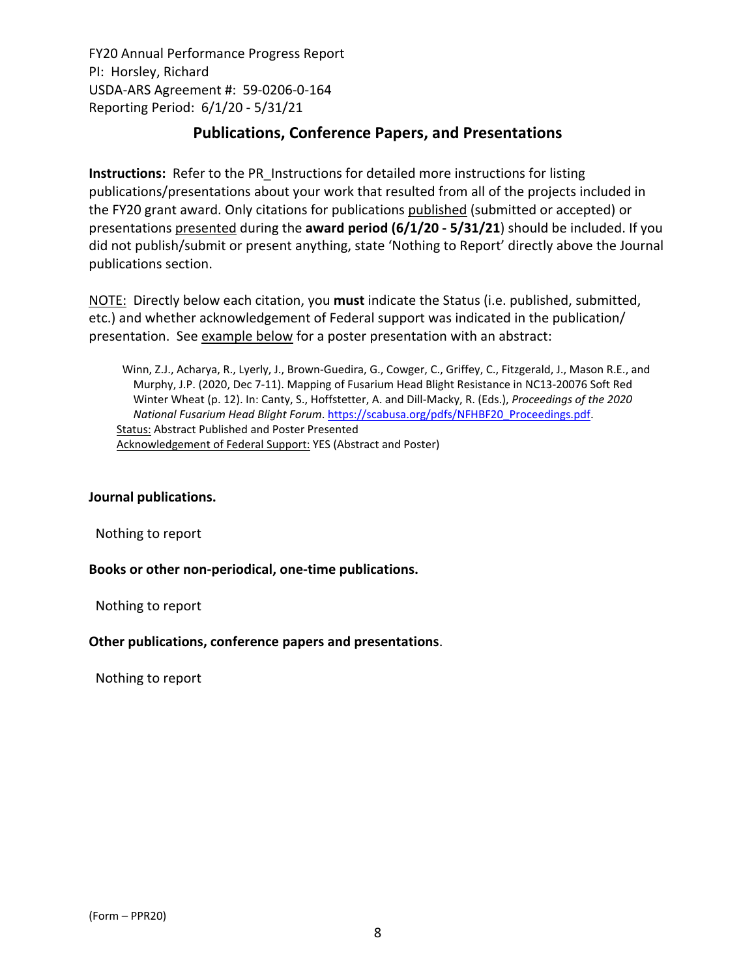# **Publications, Conference Papers, and Presentations**

**Instructions:** Refer to the PR\_Instructions for detailed more instructions for listing publications/presentations about your work that resulted from all of the projects included in the FY20 grant award. Only citations for publications published (submitted or accepted) or presentations presented during the **award period (6/1/20 ‐ 5/31/21**) should be included. If you did not publish/submit or present anything, state 'Nothing to Report' directly above the Journal publications section.

NOTE: Directly below each citation, you **must** indicate the Status (i.e. published, submitted, etc.) and whether acknowledgement of Federal support was indicated in the publication/ presentation. See example below for a poster presentation with an abstract:

Winn, Z.J., Acharya, R., Lyerly, J., Brown‐Guedira, G., Cowger, C., Griffey, C., Fitzgerald, J., Mason R.E., and Murphy, J.P. (2020, Dec 7‐11). Mapping of Fusarium Head Blight Resistance in NC13‐20076 Soft Red Winter Wheat (p. 12). In: Canty, S., Hoffstetter, A. and Dill‐Macky, R. (Eds.), *Proceedings of the 2020 National Fusarium Head Blight Forum*. https://scabusa.org/pdfs/NFHBF20\_Proceedings.pdf. Status: Abstract Published and Poster Presented Acknowledgement of Federal Support: YES (Abstract and Poster)

### **Journal publications.**

Nothing to report

### **Books or other non‐periodical, one‐time publications.**

Nothing to report

### **Other publications, conference papers and presentations**.

Nothing to report